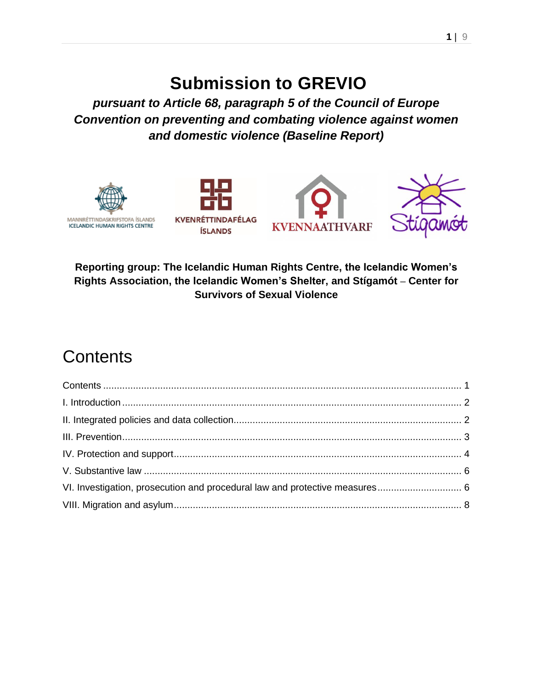## **Submission to GREVIO**

*pursuant to Article 68, paragraph 5 of the Council of Europe Convention on preventing and combating violence against women and domestic violence (Baseline Report)*



**Reporting group: The Icelandic Human Rights Centre, the Icelandic Women's Rights Association, the Icelandic Women's Shelter, and Stígamót – Center for Survivors of Sexual Violence**

# **Contents**

<span id="page-0-0"></span>

| VI. Investigation, prosecution and procedural law and protective measures 6 |  |
|-----------------------------------------------------------------------------|--|
|                                                                             |  |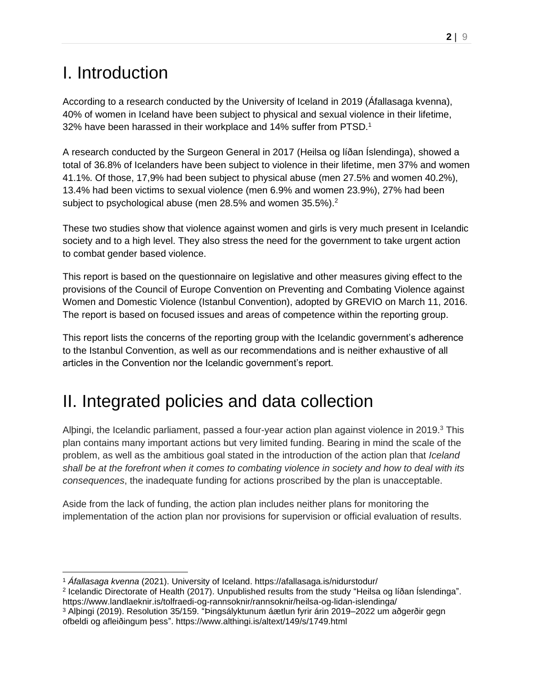# <span id="page-1-0"></span>I. Introduction

According to a research conducted by the University of Iceland in 2019 (Áfallasaga kvenna), 40% of women in Iceland have been subject to physical and sexual violence in their lifetime, 32% have been harassed in their workplace and 14% suffer from PTSD.<sup>1</sup>

A research conducted by the Surgeon General in 2017 (Heilsa og líðan Íslendinga), showed a total of 36.8% of Icelanders have been subject to violence in their lifetime, men 37% and women 41.1%. Of those, 17,9% had been subject to physical abuse (men 27.5% and women 40.2%), 13.4% had been victims to sexual violence (men 6.9% and women 23.9%), 27% had been subject to psychological abuse (men 28.5% and women 35.5%).<sup>2</sup>

These two studies show that violence against women and girls is very much present in Icelandic society and to a high level. They also stress the need for the government to take urgent action to combat gender based violence.

This report is based on the questionnaire on legislative and other measures giving effect to the provisions of the Council of Europe Convention on Preventing and Combating Violence against Women and Domestic Violence (Istanbul Convention), adopted by GREVIO on March 11, 2016. The report is based on focused issues and areas of competence within the reporting group.

This report lists the concerns of the reporting group with the Icelandic government's adherence to the Istanbul Convention, as well as our recommendations and is neither exhaustive of all articles in the Convention nor the Icelandic government's report.

# <span id="page-1-1"></span>II. Integrated policies and data collection

Alþingi, the Icelandic parliament, passed a four-year action plan against violence in 2019. $3$  This plan contains many important actions but very limited funding. Bearing in mind the scale of the problem, as well as the ambitious goal stated in the introduction of the action plan that *Iceland shall be at the forefront when it comes to combating violence in society and how to deal with its consequences*, the inadequate funding for actions proscribed by the plan is unacceptable.

Aside from the lack of funding, the action plan includes neither plans for monitoring the implementation of the action plan nor provisions for supervision or official evaluation of results.

<sup>1</sup> *Áfallasaga kvenna* (2021). University of Iceland. https://afallasaga.is/nidurstodur/

<sup>2</sup> Icelandic Directorate of Health (2017). Unpublished results from the study "Heilsa og líðan Íslendinga". https://www.landlaeknir.is/tolfraedi-og-rannsoknir/rannsoknir/heilsa-og-lidan-islendinga/

<sup>3</sup> Alþingi (2019). Resolution 35/159. "Þingsályktunum áætlun fyrir árin 2019–2022 um aðgerðir gegn ofbeldi og afleiðingum þess". https://www.althingi.is/altext/149/s/1749.html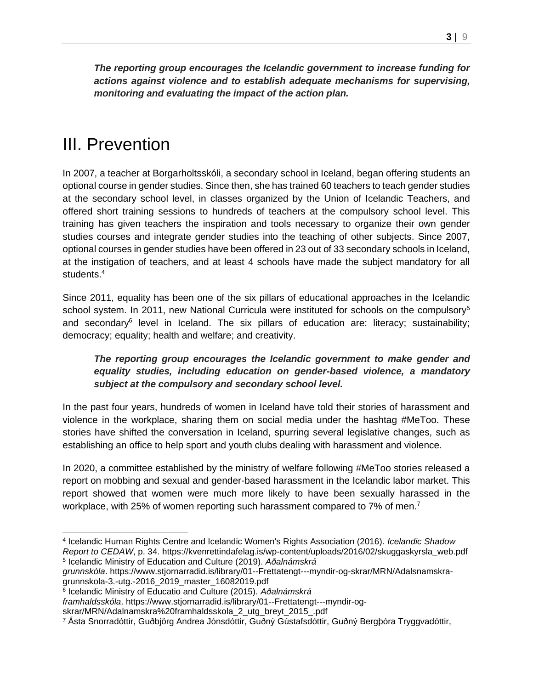*The reporting group encourages the Icelandic government to increase funding for actions against violence and to establish adequate mechanisms for supervising, monitoring and evaluating the impact of the action plan.*

## <span id="page-2-0"></span>III. Prevention

In 2007, a teacher at Borgarholtsskóli, a secondary school in Iceland, began offering students an optional course in gender studies. Since then, she has trained 60 teachers to teach gender studies at the secondary school level, in classes organized by the Union of Icelandic Teachers, and offered short training sessions to hundreds of teachers at the compulsory school level. This training has given teachers the inspiration and tools necessary to organize their own gender studies courses and integrate gender studies into the teaching of other subjects. Since 2007, optional courses in gender studies have been offered in 23 out of 33 secondary schools in Iceland, at the instigation of teachers, and at least 4 schools have made the subject mandatory for all students.<sup>4</sup>

Since 2011, equality has been one of the six pillars of educational approaches in the Icelandic school system. In 2011, new National Curricula were instituted for schools on the compulsory<sup>5</sup> and secondary<sup>6</sup> level in Iceland. The six pillars of education are: literacy; sustainability; democracy; equality; health and welfare; and creativity.

#### *The reporting group encourages the Icelandic government to make gender and equality studies, including education on gender-based violence, a mandatory subject at the compulsory and secondary school level.*

In the past four years, hundreds of women in Iceland have told their stories of harassment and violence in the workplace, sharing them on social media under the hashtag #MeToo. These stories have shifted the conversation in Iceland, spurring several legislative changes, such as establishing an office to help sport and youth clubs dealing with harassment and violence.

In 2020, a committee established by the ministry of welfare following #MeToo stories released a report on mobbing and sexual and gender-based harassment in the Icelandic labor market. This report showed that women were much more likely to have been sexually harassed in the workplace, with 25% of women reporting such harassment compared to 7% of men.<sup>7</sup>

<sup>4</sup> Icelandic Human Rights Centre and Icelandic Women's Rights Association (2016). *Icelandic Shadow Report to CEDAW*, p. 34. https://kvenrettindafelag.is/wp-content/uploads/2016/02/skuggaskyrsla\_web.pdf 5 Icelandic Ministry of Education and Culture (2019). *Aðalnámskrá* 

*grunnskóla*. https://www.stjornarradid.is/library/01--Frettatengt---myndir-og-skrar/MRN/Adalsnamskragrunnskola-3.-utg.-2016\_2019\_master\_16082019.pdf

<sup>6</sup> Icelandic Ministry of Educatio and Culture (2015). *Aðalnámskrá* 

*framhaldsskóla*. https://www.stjornarradid.is/library/01--Frettatengt---myndir-og-

skrar/MRN/Adalnamskra%20framhaldsskola\_2\_utg\_breyt\_2015\_.pdf

<sup>7</sup> Ásta Snorradóttir, Guðbjörg Andrea Jónsdóttir, Guðný Gústafsdóttir, Guðný Bergþóra Tryggvadóttir,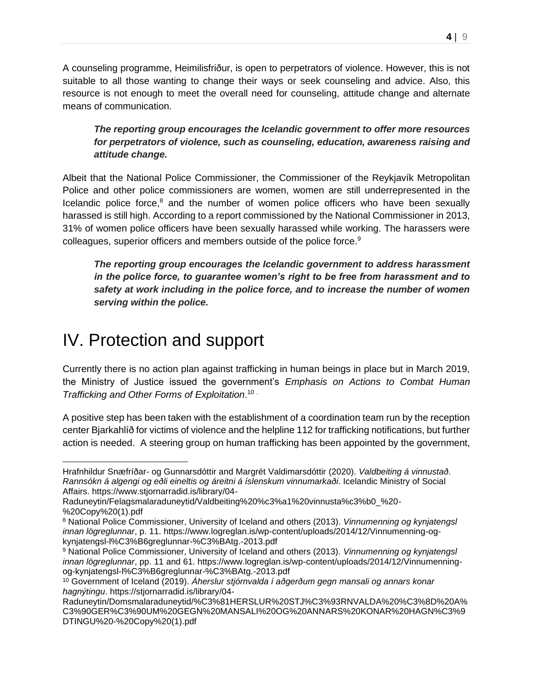A counseling programme, Heimilisfriður, is open to perpetrators of violence. However, this is not suitable to all those wanting to change their ways or seek counseling and advice. Also, this resource is not enough to meet the overall need for counseling, attitude change and alternate means of communication.

*The reporting group encourages the Icelandic government to offer more resources for perpetrators of violence, such as counseling, education, awareness raising and attitude change.*

Albeit that the National Police Commissioner, the Commissioner of the Reykjavík Metropolitan Police and other police commissioners are women, women are still underrepresented in the Icelandic police force,<sup>8</sup> and the number of women police officers who have been sexually harassed is still high. According to a report commissioned by the National Commissioner in 2013, 31% of women police officers have been sexually harassed while working. The harassers were colleagues, superior officers and members outside of the police force.<sup>9</sup>

*The reporting group encourages the Icelandic government to address harassment in the police force, to guarantee women's right to be free from harassment and to safety at work including in the police force, and to increase the number of women serving within the police.*

### <span id="page-3-0"></span>IV. Protection and support

Currently there is no action plan against trafficking in human beings in place but in March 2019, the Ministry of Justice issued the government's *Emphasis on Actions to Combat Human Trafficking and Other Forms of Exploitation*. 10 .

A positive step has been taken with the establishment of a coordination team run by the reception center Bjarkahlíð for victims of violence and the helpline 112 for trafficking notifications, but further action is needed. A steering group on human trafficking has been appointed by the government,

Hrafnhildur Snæfríðar- og Gunnarsdóttir and Margrét Valdimarsdóttir (2020). *Valdbeiting á vinnustað. Rannsókn á algengi og eðli eineltis og áreitni á íslenskum vinnumarkaði*. Icelandic Ministry of Social Affairs. https://www.stjornarradid.is/library/04-

Raduneytin/Felagsmalaraduneytid/Valdbeiting%20%c3%a1%20vinnusta%c3%b0\_%20- %20Copy%20(1).pdf

<sup>8</sup> National Police Commissioner, University of Iceland and others (2013). *Vinnumenning og kynjatengsl innan lögreglunnar*, p. 11. https://www.logreglan.is/wp-content/uploads/2014/12/Vinnumenning-ogkynjatengsl-l%C3%B6greglunnar-%C3%BAtg.-2013.pdf

<sup>9</sup> National Police Commissioner, University of Iceland and others (2013). *Vinnumenning og kynjatengsl innan lögreglunnar*, pp. 11 and 61. https://www.logreglan.is/wp-content/uploads/2014/12/Vinnumenningog-kynjatengsl-l%C3%B6greglunnar-%C3%BAtg.-2013.pdf

<sup>10</sup> Government of Iceland (2019). *Áherslur stjórnvalda í aðgerðum gegn mansali og annars konar hagnýtingu*. https://stjornarradid.is/library/04-

Raduneytin/Domsmalaraduneytid/%C3%81HERSLUR%20STJ%C3%93RNVALDA%20%C3%8D%20A% C3%90GER%C3%90UM%20GEGN%20MANSALI%20OG%20ANNARS%20KONAR%20HAGN%C3%9 DTINGU%20-%20Copy%20(1).pdf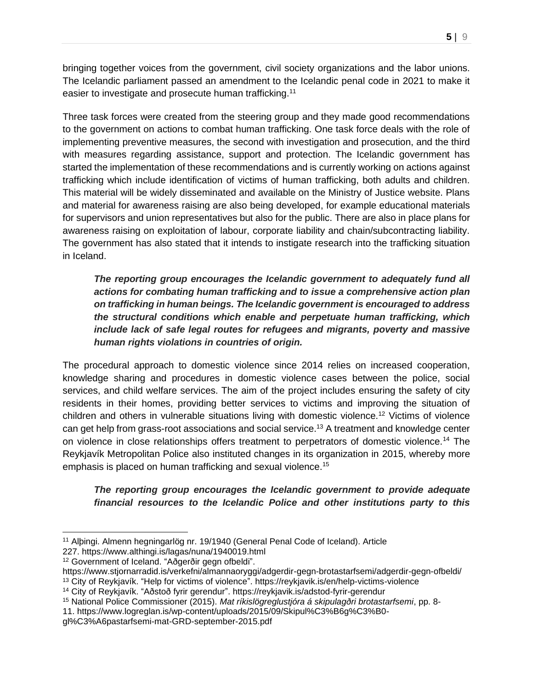bringing together voices from the government, civil society organizations and the labor unions. The Icelandic parliament passed an amendment to the Icelandic penal code in 2021 to make it easier to investigate and prosecute human trafficking.<sup>11</sup>

Three task forces were created from the steering group and they made good recommendations to the government on actions to combat human trafficking. One task force deals with the role of implementing preventive measures, the second with investigation and prosecution, and the third with measures regarding assistance, support and protection. The Icelandic government has started the implementation of these recommendations and is currently working on actions against trafficking which include identification of victims of human trafficking, both adults and children. This material will be widely disseminated and available on the Ministry of Justice website. Plans and material for awareness raising are also being developed, for example educational materials for supervisors and union representatives but also for the public. There are also in place plans for awareness raising on exploitation of labour, corporate liability and chain/subcontracting liability. The government has also stated that it intends to instigate research into the trafficking situation in Iceland.

*The reporting group encourages the Icelandic government to adequately fund all actions for combating human trafficking and to issue a comprehensive action plan on trafficking in human beings. The Icelandic government is encouraged to address the structural conditions which enable and perpetuate human trafficking, which include lack of safe legal routes for refugees and migrants, poverty and massive human rights violations in countries of origin.*

The procedural approach to domestic violence since 2014 relies on increased cooperation, knowledge sharing and procedures in domestic violence cases between the police, social services, and child welfare services. The aim of the project includes ensuring the safety of city residents in their homes, providing better services to victims and improving the situation of children and others in vulnerable situations living with domestic violence.<sup>12</sup> Victims of violence can get help from grass-root associations and social service.<sup>13</sup> A treatment and knowledge center on violence in close relationships offers treatment to perpetrators of domestic violence.<sup>14</sup> The Reykjavík Metropolitan Police also instituted changes in its organization in 2015, whereby more emphasis is placed on human trafficking and sexual violence.<sup>15</sup>

#### *The reporting group encourages the Icelandic government to provide adequate financial resources to the Icelandic Police and other institutions party to this*

<sup>11</sup> Alþingi. Almenn hegningarlög nr. 19/1940 (General Penal Code of Iceland). Article

<sup>227.</sup> https://www.althingi.is/lagas/nuna/1940019.html

<sup>12</sup> Government of Iceland. "Aðgerðir gegn ofbeldi".

https://www.stjornarradid.is/verkefni/almannaoryggi/adgerdir-gegn-brotastarfsemi/adgerdir-gegn-ofbeldi/

<sup>13</sup> City of Reykjavík. "Help for victims of violence". https://reykjavik.is/en/help-victims-violence

<sup>14</sup> City of Reykjavík. "Aðstoð fyrir gerendur". https://reykjavik.is/adstod-fyrir-gerendur

<sup>15</sup> National Police Commissioner (2015). *Mat ríkislögreglustjóra á skipulagðri brotastarfsemi*, pp. 8- 11. https://www.logreglan.is/wp-content/uploads/2015/09/Skipul%C3%B6g%C3%B0-

gl%C3%A6pastarfsemi-mat-GRD-september-2015.pdf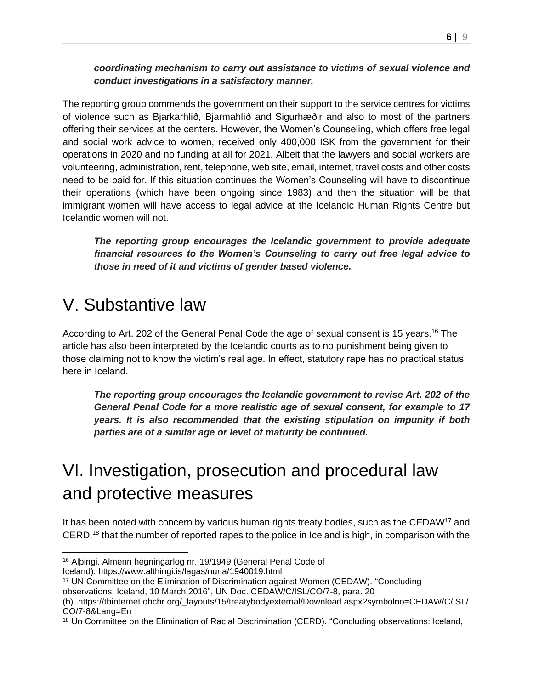*coordinating mechanism to carry out assistance to victims of sexual violence and conduct investigations in a satisfactory manner.* 

The reporting group commends the government on their support to the service centres for victims of violence such as Bjarkarhlíð, Bjarmahlíð and Sigurhæðir and also to most of the partners offering their services at the centers. However, the Women's Counseling, which offers free legal and social work advice to women, received only 400,000 ISK from the government for their operations in 2020 and no funding at all for 2021. Albeit that the lawyers and social workers are volunteering, administration, rent, telephone, web site, email, internet, travel costs and other costs need to be paid for. If this situation continues the Women's Counseling will have to discontinue their operations (which have been ongoing since 1983) and then the situation will be that immigrant women will have access to legal advice at the Icelandic Human Rights Centre but Icelandic women will not.

*The reporting group encourages the Icelandic government to provide adequate financial resources to the Women's Counseling to carry out free legal advice to those in need of it and victims of gender based violence.*

### <span id="page-5-0"></span>V. Substantive law

According to Art. 202 of the General Penal Code the age of sexual consent is 15 years.<sup>16</sup> The article has also been interpreted by the Icelandic courts as to no punishment being given to those claiming not to know the victim's real age. In effect, statutory rape has no practical status here in Iceland.

*The reporting group encourages the Icelandic government to revise Art. 202 of the General Penal Code for a more realistic age of sexual consent, for example to 17 years. It is also recommended that the existing stipulation on impunity if both parties are of a similar age or level of maturity be continued.*

# <span id="page-5-1"></span>VI. Investigation, prosecution and procedural law and protective measures

It has been noted with concern by various human rights treaty bodies, such as the CEDAW<sup>17</sup> and CERD,<sup>18</sup> that the number of reported rapes to the police in Iceland is high, in comparison with the

<sup>16</sup> Alþingi. Almenn hegningarlög nr. 19/1949 (General Penal Code of

Iceland). https://www.althingi.is/lagas/nuna/1940019.html

<sup>17</sup> UN Committee on the Elimination of Discrimination against Women (CEDAW). "Concluding

observations: Iceland, 10 March 2016", UN Doc. CEDAW/C/ISL/CO/7-8, para. 20

<sup>(</sup>b). https://tbinternet.ohchr.org/\_layouts/15/treatybodyexternal/Download.aspx?symbolno=CEDAW/C/ISL/ CO/7-8&Lang=En

<sup>18</sup> Un Committee on the Elimination of Racial Discrimination (CERD). "Concluding observations: Iceland,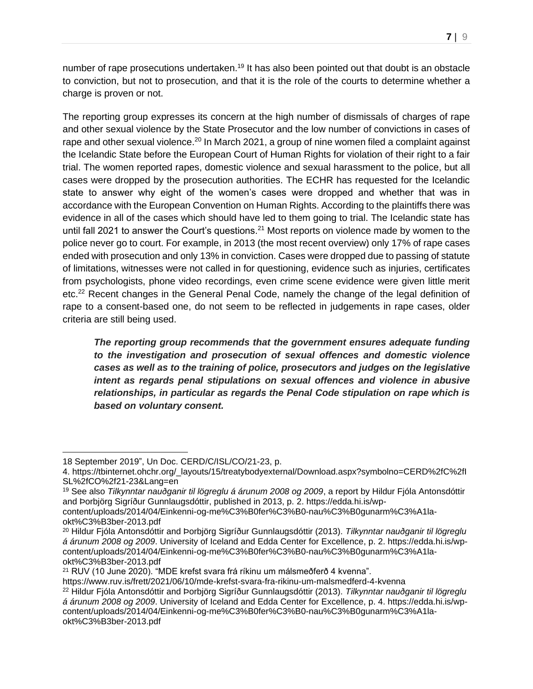number of rape prosecutions undertaken.<sup>19</sup> It has also been pointed out that doubt is an obstacle to conviction, but not to prosecution, and that it is the role of the courts to determine whether a charge is proven or not.

The reporting group expresses its concern at the high number of dismissals of charges of rape and other sexual violence by the State Prosecutor and the low number of convictions in cases of rape and other sexual violence.<sup>20</sup> In March 2021, a group of nine women filed a complaint against the Icelandic State before the European Court of Human Rights for violation of their right to a fair trial. The women reported rapes, domestic violence and sexual harassment to the police, but all cases were dropped by the prosecution authorities. The ECHR has requested for the Icelandic state to answer why eight of the women's cases were dropped and whether that was in accordance with the European Convention on Human Rights. According to the plaintiffs there was evidence in all of the cases which should have led to them going to trial. The Icelandic state has until fall 2021 to answer the Court's questions.<sup>21</sup> Most reports on violence made by women to the police never go to court. For example, in 2013 (the most recent overview) only 17% of rape cases ended with prosecution and only 13% in conviction. Cases were dropped due to passing of statute of limitations, witnesses were not called in for questioning, evidence such as injuries, certificates from psychologists, phone video recordings, even crime scene evidence were given little merit etc.<sup>22</sup> Recent changes in the General Penal Code, namely the change of the legal definition of rape to a consent-based one, do not seem to be reflected in judgements in rape cases, older criteria are still being used.

*The reporting group recommends that the government ensures adequate funding to the investigation and prosecution of sexual offences and domestic violence cases as well as to the training of police, prosecutors and judges on the legislative intent as regards penal stipulations on sexual offences and violence in abusive relationships, in particular as regards the Penal Code stipulation on rape which is based on voluntary consent.*

<sup>18</sup> September 2019", Un Doc. CERD/C/ISL/CO/21-23, p.

<sup>4.</sup> https://tbinternet.ohchr.org/\_layouts/15/treatybodyexternal/Download.aspx?symbolno=CERD%2fC%2fI SL%2fCO%2f21-23&Lang=en

<sup>19</sup> See also *Tilkynntar nauðganir til lögreglu á árunum 2008 og 2009*, a report by Hildur Fjóla Antonsdóttir and Þorbjörg Sigríður Gunnlaugsdóttir, published in 2013, p. 2. https://edda.hi.is/wp-

content/uploads/2014/04/Einkenni-og-me%C3%B0fer%C3%B0-nau%C3%B0gunarm%C3%A1laokt%C3%B3ber-2013.pdf

<sup>20</sup> Hildur Fjóla Antonsdóttir and Þorbjörg Sigríður Gunnlaugsdóttir (2013). *Tilkynntar nauðganir til lögreglu á árunum 2008 og 2009*. University of Iceland and Edda Center for Excellence, p. 2. https://edda.hi.is/wpcontent/uploads/2014/04/Einkenni-og-me%C3%B0fer%C3%B0-nau%C3%B0gunarm%C3%A1laokt%C3%B3ber-2013.pdf

<sup>21</sup> RUV (10 June 2020). "MDE krefst svara frá ríkinu um málsmeðferð 4 kvenna".

https://www.ruv.is/frett/2021/06/10/mde-krefst-svara-fra-rikinu-um-malsmedferd-4-kvenna

<sup>22</sup> Hildur Fjóla Antonsdóttir and Þorbjörg Sigríður Gunnlaugsdóttir (2013). *Tilkynntar nauðganir til lögreglu á árunum 2008 og 2009*. University of Iceland and Edda Center for Excellence, p. 4. https://edda.hi.is/wpcontent/uploads/2014/04/Einkenni-og-me%C3%B0fer%C3%B0-nau%C3%B0gunarm%C3%A1laokt%C3%B3ber-2013.pdf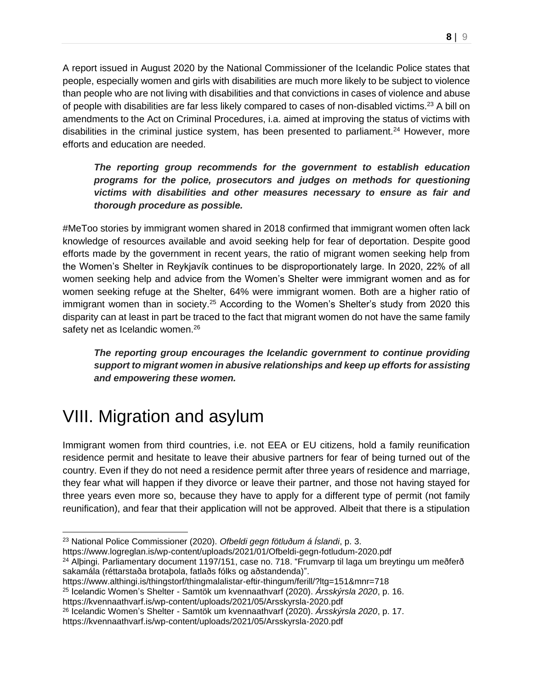A report issued in August 2020 by the National Commissioner of the Icelandic Police states that people, especially women and girls with disabilities are much more likely to be subject to violence than people who are not living with disabilities and that convictions in cases of violence and abuse of people with disabilities are far less likely compared to cases of non-disabled victims.<sup>23</sup> A bill on amendments to the Act on Criminal Procedures, i.a. aimed at improving the status of victims with disabilities in the criminal justice system, has been presented to parliament.<sup>24</sup> However, more efforts and education are needed.

*The reporting group recommends for the government to establish education programs for the police, prosecutors and judges on methods for questioning victims with disabilities and other measures necessary to ensure as fair and thorough procedure as possible.*

#MeToo stories by immigrant women shared in 2018 confirmed that immigrant women often lack knowledge of resources available and avoid seeking help for fear of deportation. Despite good efforts made by the government in recent years, the ratio of migrant women seeking help from the Women's Shelter in Reykjavík continues to be disproportionately large. In 2020, 22% of all women seeking help and advice from the Women's Shelter were immigrant women and as for women seeking refuge at the Shelter, 64% were immigrant women. Both are a higher ratio of immigrant women than in society.<sup>25</sup> According to the Women's Shelter's study from 2020 this disparity can at least in part be traced to the fact that migrant women do not have the same family safety net as Icelandic women.<sup>26</sup>

*The reporting group encourages the Icelandic government to continue providing support to migrant women in abusive relationships and keep up efforts for assisting and empowering these women.*

## <span id="page-7-0"></span>VIII. Migration and asylum

Immigrant women from third countries, i.e. not EEA or EU citizens, hold a family reunification residence permit and hesitate to leave their abusive partners for fear of being turned out of the country. Even if they do not need a residence permit after three years of residence and marriage, they fear what will happen if they divorce or leave their partner, and those not having stayed for three years even more so, because they have to apply for a different type of permit (not family reunification), and fear that their application will not be approved. Albeit that there is a stipulation

<sup>23</sup> National Police Commissioner (2020). *Ofbeldi gegn fötluðum á Íslandi*, p. 3.

https://www.logreglan.is/wp-content/uploads/2021/01/Ofbeldi-gegn-fotludum-2020.pdf

<sup>24</sup> Alþingi. Parliamentary document 1197/151, case no. 718. "Frumvarp til laga um breytingu um meðferð sakamála (réttarstaða brotaþola, fatlaðs fólks og aðstandenda)".

https://www.althingi.is/thingstorf/thingmalalistar-eftir-thingum/ferill/?ltg=151&mnr=718

<sup>25</sup> Icelandic Women's Shelter - Samtök um kvennaathvarf (2020). *Ársskýrsla 2020*, p. 16.

https://kvennaathvarf.is/wp-content/uploads/2021/05/Arsskyrsla-2020.pdf

<sup>26</sup> Icelandic Women's Shelter - Samtök um kvennaathvarf (2020). *Ársskýrsla 2020*, p. 17.

https://kvennaathvarf.is/wp-content/uploads/2021/05/Arsskyrsla-2020.pdf